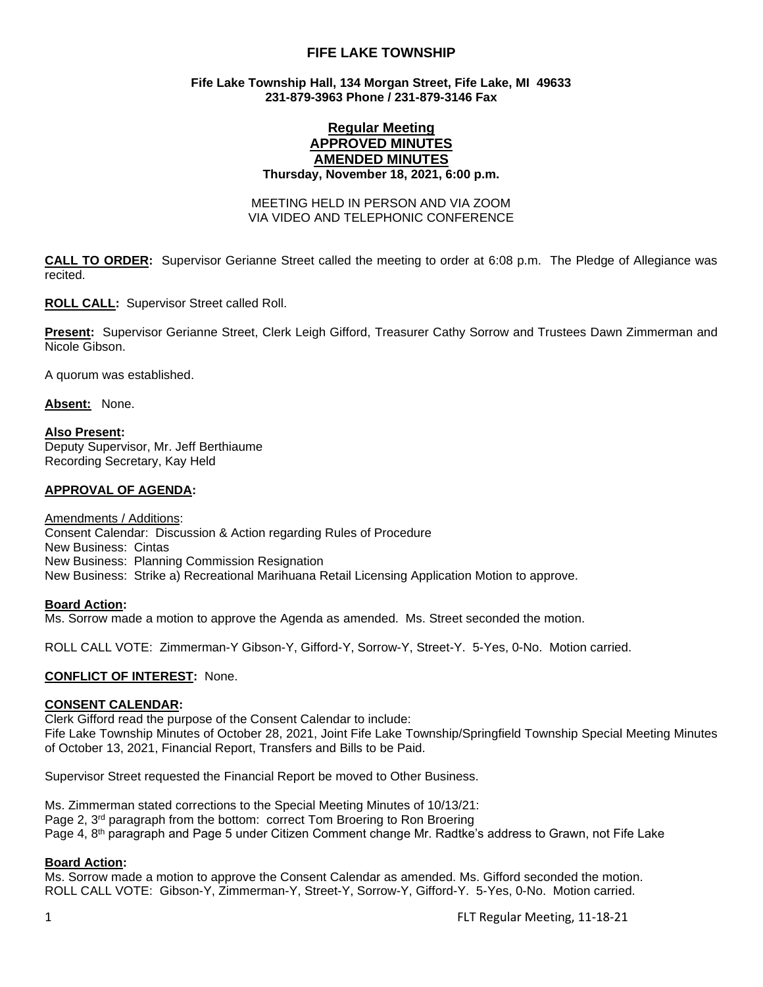# **FIFE LAKE TOWNSHIP**

### **Fife Lake Township Hall, 134 Morgan Street, Fife Lake, MI 49633 231-879-3963 Phone / 231-879-3146 Fax**

# **Regular Meeting APPROVED MINUTES AMENDED MINUTES**

**Thursday, November 18, 2021, 6:00 p.m.** 

MEETING HELD IN PERSON AND VIA ZOOM VIA VIDEO AND TELEPHONIC CONFERENCE

**CALL TO ORDER:** Supervisor Gerianne Street called the meeting to order at 6:08 p.m. The Pledge of Allegiance was recited.

**ROLL CALL:** Supervisor Street called Roll.

**Present:** Supervisor Gerianne Street, Clerk Leigh Gifford, Treasurer Cathy Sorrow and Trustees Dawn Zimmerman and Nicole Gibson.

A quorum was established.

**Absent:** None.

**Also Present:** Deputy Supervisor, Mr. Jeff Berthiaume Recording Secretary, Kay Held

### **APPROVAL OF AGENDA:**

Amendments / Additions: Consent Calendar: Discussion & Action regarding Rules of Procedure New Business: Cintas New Business: Planning Commission Resignation New Business: Strike a) Recreational Marihuana Retail Licensing Application Motion to approve.

### **Board Action:**

Ms. Sorrow made a motion to approve the Agenda as amended. Ms. Street seconded the motion.

ROLL CALL VOTE: Zimmerman-Y Gibson-Y, Gifford-Y, Sorrow-Y, Street-Y. 5-Yes, 0-No. Motion carried.

### **CONFLICT OF INTEREST:** None.

### **CONSENT CALENDAR:**

Clerk Gifford read the purpose of the Consent Calendar to include: Fife Lake Township Minutes of October 28, 2021, Joint Fife Lake Township/Springfield Township Special Meeting Minutes of October 13, 2021, Financial Report, Transfers and Bills to be Paid.

Supervisor Street requested the Financial Report be moved to Other Business.

Ms. Zimmerman stated corrections to the Special Meeting Minutes of 10/13/21: Page 2, 3<sup>rd</sup> paragraph from the bottom: correct Tom Broering to Ron Broering Page 4, 8<sup>th</sup> paragraph and Page 5 under Citizen Comment change Mr. Radtke's address to Grawn, not Fife Lake

### **Board Action:**

Ms. Sorrow made a motion to approve the Consent Calendar as amended. Ms. Gifford seconded the motion. ROLL CALL VOTE: Gibson-Y, Zimmerman-Y, Street-Y, Sorrow-Y, Gifford-Y. 5-Yes, 0-No. Motion carried.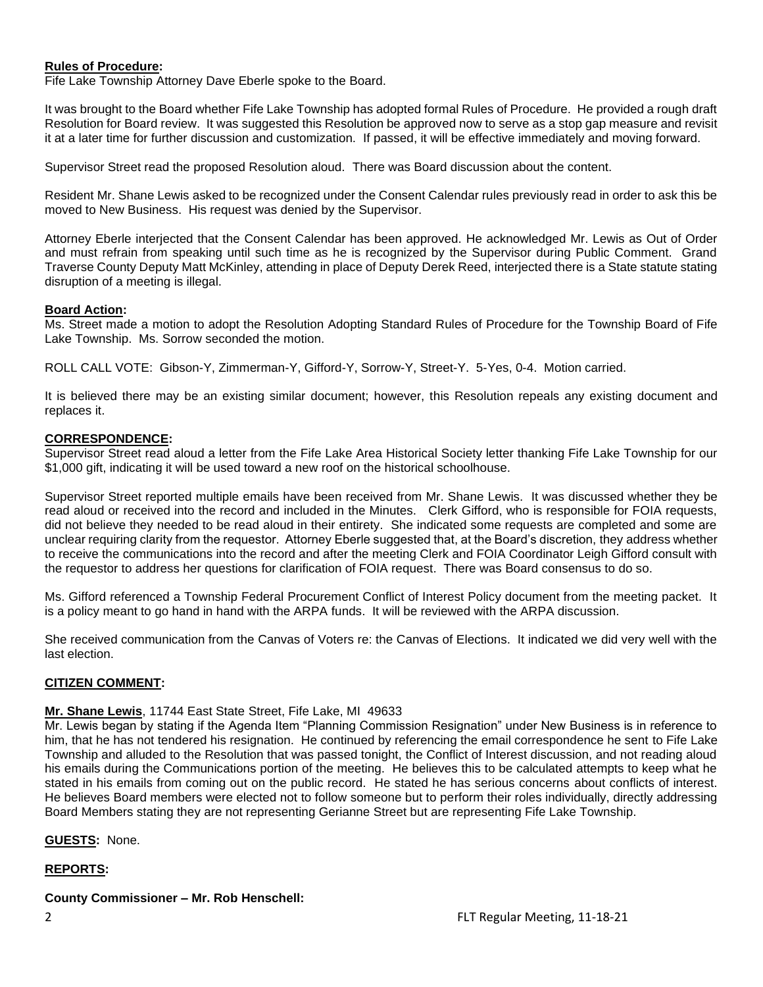### **Rules of Procedure:**

Fife Lake Township Attorney Dave Eberle spoke to the Board.

It was brought to the Board whether Fife Lake Township has adopted formal Rules of Procedure. He provided a rough draft Resolution for Board review. It was suggested this Resolution be approved now to serve as a stop gap measure and revisit it at a later time for further discussion and customization. If passed, it will be effective immediately and moving forward.

Supervisor Street read the proposed Resolution aloud. There was Board discussion about the content.

Resident Mr. Shane Lewis asked to be recognized under the Consent Calendar rules previously read in order to ask this be moved to New Business. His request was denied by the Supervisor.

Attorney Eberle interjected that the Consent Calendar has been approved. He acknowledged Mr. Lewis as Out of Order and must refrain from speaking until such time as he is recognized by the Supervisor during Public Comment. Grand Traverse County Deputy Matt McKinley, attending in place of Deputy Derek Reed, interjected there is a State statute stating disruption of a meeting is illegal.

### **Board Action:**

Ms. Street made a motion to adopt the Resolution Adopting Standard Rules of Procedure for the Township Board of Fife Lake Township. Ms. Sorrow seconded the motion.

ROLL CALL VOTE: Gibson-Y, Zimmerman-Y, Gifford-Y, Sorrow-Y, Street-Y. 5-Yes, 0-4. Motion carried.

It is believed there may be an existing similar document; however, this Resolution repeals any existing document and replaces it.

### **CORRESPONDENCE:**

Supervisor Street read aloud a letter from the Fife Lake Area Historical Society letter thanking Fife Lake Township for our \$1,000 gift, indicating it will be used toward a new roof on the historical schoolhouse.

Supervisor Street reported multiple emails have been received from Mr. Shane Lewis. It was discussed whether they be read aloud or received into the record and included in the Minutes. Clerk Gifford, who is responsible for FOIA requests, did not believe they needed to be read aloud in their entirety. She indicated some requests are completed and some are unclear requiring clarity from the requestor. Attorney Eberle suggested that, at the Board's discretion, they address whether to receive the communications into the record and after the meeting Clerk and FOIA Coordinator Leigh Gifford consult with the requestor to address her questions for clarification of FOIA request. There was Board consensus to do so.

Ms. Gifford referenced a Township Federal Procurement Conflict of Interest Policy document from the meeting packet. It is a policy meant to go hand in hand with the ARPA funds. It will be reviewed with the ARPA discussion.

She received communication from the Canvas of Voters re: the Canvas of Elections. It indicated we did very well with the last election.

# **CITIZEN COMMENT:**

### **Mr. Shane Lewis**, 11744 East State Street, Fife Lake, MI 49633

Mr. Lewis began by stating if the Agenda Item "Planning Commission Resignation" under New Business is in reference to him, that he has not tendered his resignation. He continued by referencing the email correspondence he sent to Fife Lake Township and alluded to the Resolution that was passed tonight, the Conflict of Interest discussion, and not reading aloud his emails during the Communications portion of the meeting. He believes this to be calculated attempts to keep what he stated in his emails from coming out on the public record. He stated he has serious concerns about conflicts of interest. He believes Board members were elected not to follow someone but to perform their roles individually, directly addressing Board Members stating they are not representing Gerianne Street but are representing Fife Lake Township.

### **GUESTS:** None.

# **REPORTS:**

# **County Commissioner – Mr. Rob Henschell:**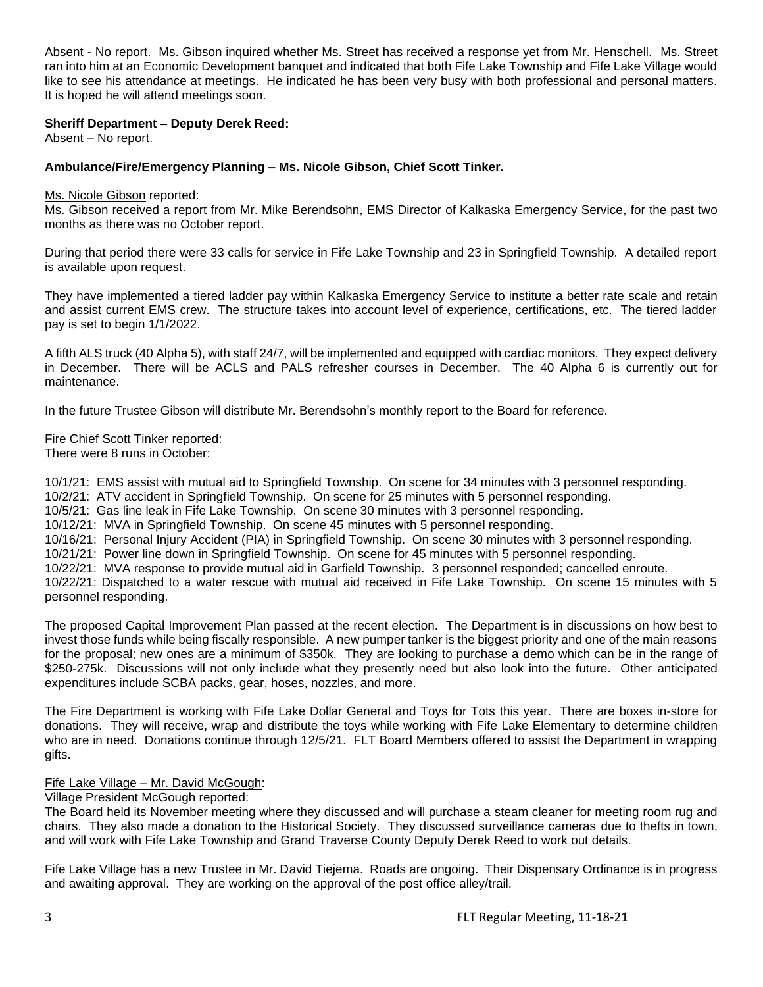Absent - No report. Ms. Gibson inquired whether Ms. Street has received a response yet from Mr. Henschell. Ms. Street ran into him at an Economic Development banquet and indicated that both Fife Lake Township and Fife Lake Village would like to see his attendance at meetings. He indicated he has been very busy with both professional and personal matters. It is hoped he will attend meetings soon.

### **Sheriff Department – Deputy Derek Reed:**

Absent – No report.

### **Ambulance/Fire/Emergency Planning – Ms. Nicole Gibson, Chief Scott Tinker.**

#### Ms. Nicole Gibson reported:

Ms. Gibson received a report from Mr. Mike Berendsohn, EMS Director of Kalkaska Emergency Service, for the past two months as there was no October report.

During that period there were 33 calls for service in Fife Lake Township and 23 in Springfield Township. A detailed report is available upon request.

They have implemented a tiered ladder pay within Kalkaska Emergency Service to institute a better rate scale and retain and assist current EMS crew. The structure takes into account level of experience, certifications, etc. The tiered ladder pay is set to begin 1/1/2022.

A fifth ALS truck (40 Alpha 5), with staff 24/7, will be implemented and equipped with cardiac monitors. They expect delivery in December. There will be ACLS and PALS refresher courses in December. The 40 Alpha 6 is currently out for maintenance.

In the future Trustee Gibson will distribute Mr. Berendsohn's monthly report to the Board for reference.

#### Fire Chief Scott Tinker reported:

There were 8 runs in October:

10/1/21: EMS assist with mutual aid to Springfield Township. On scene for 34 minutes with 3 personnel responding.

10/2/21: ATV accident in Springfield Township. On scene for 25 minutes with 5 personnel responding.

10/5/21: Gas line leak in Fife Lake Township. On scene 30 minutes with 3 personnel responding.

10/12/21: MVA in Springfield Township. On scene 45 minutes with 5 personnel responding.

10/16/21: Personal Injury Accident (PIA) in Springfield Township. On scene 30 minutes with 3 personnel responding.

10/21/21: Power line down in Springfield Township. On scene for 45 minutes with 5 personnel responding.

10/22/21: MVA response to provide mutual aid in Garfield Township. 3 personnel responded; cancelled enroute.

10/22/21: Dispatched to a water rescue with mutual aid received in Fife Lake Township. On scene 15 minutes with 5 personnel responding.

The proposed Capital Improvement Plan passed at the recent election. The Department is in discussions on how best to invest those funds while being fiscally responsible. A new pumper tanker is the biggest priority and one of the main reasons for the proposal; new ones are a minimum of \$350k. They are looking to purchase a demo which can be in the range of \$250-275k. Discussions will not only include what they presently need but also look into the future. Other anticipated expenditures include SCBA packs, gear, hoses, nozzles, and more.

The Fire Department is working with Fife Lake Dollar General and Toys for Tots this year. There are boxes in-store for donations. They will receive, wrap and distribute the toys while working with Fife Lake Elementary to determine children who are in need. Donations continue through 12/5/21. FLT Board Members offered to assist the Department in wrapping gifts.

# Fife Lake Village – Mr. David McGough:

Village President McGough reported:

The Board held its November meeting where they discussed and will purchase a steam cleaner for meeting room rug and chairs. They also made a donation to the Historical Society. They discussed surveillance cameras due to thefts in town, and will work with Fife Lake Township and Grand Traverse County Deputy Derek Reed to work out details.

Fife Lake Village has a new Trustee in Mr. David Tiejema. Roads are ongoing. Their Dispensary Ordinance is in progress and awaiting approval. They are working on the approval of the post office alley/trail.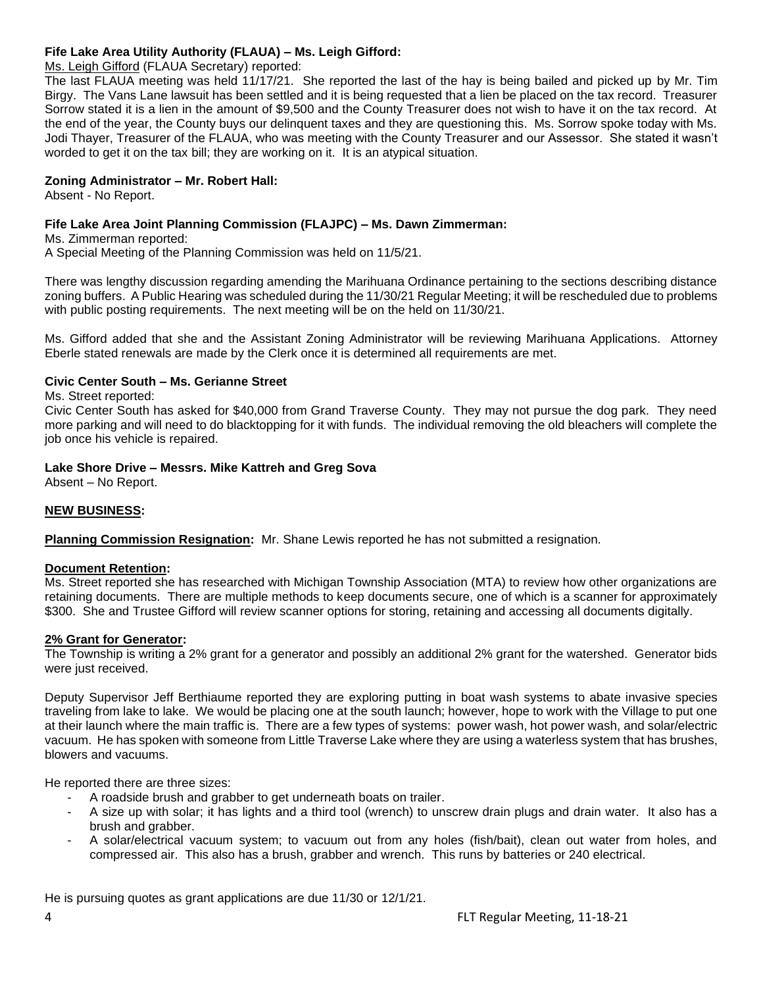# **Fife Lake Area Utility Authority (FLAUA) – Ms. Leigh Gifford:**

# Ms. Leigh Gifford (FLAUA Secretary) reported:

The last FLAUA meeting was held 11/17/21. She reported the last of the hay is being bailed and picked up by Mr. Tim Birgy. The Vans Lane lawsuit has been settled and it is being requested that a lien be placed on the tax record. Treasurer Sorrow stated it is a lien in the amount of \$9,500 and the County Treasurer does not wish to have it on the tax record. At the end of the year, the County buys our delinquent taxes and they are questioning this. Ms. Sorrow spoke today with Ms. Jodi Thayer, Treasurer of the FLAUA, who was meeting with the County Treasurer and our Assessor. She stated it wasn't worded to get it on the tax bill; they are working on it. It is an atypical situation.

# **Zoning Administrator – Mr. Robert Hall:**

Absent - No Report.

# **Fife Lake Area Joint Planning Commission (FLAJPC) – Ms. Dawn Zimmerman:**

Ms. Zimmerman reported:

A Special Meeting of the Planning Commission was held on 11/5/21.

There was lengthy discussion regarding amending the Marihuana Ordinance pertaining to the sections describing distance zoning buffers. A Public Hearing was scheduled during the 11/30/21 Regular Meeting; it will be rescheduled due to problems with public posting requirements. The next meeting will be on the held on 11/30/21.

Ms. Gifford added that she and the Assistant Zoning Administrator will be reviewing Marihuana Applications. Attorney Eberle stated renewals are made by the Clerk once it is determined all requirements are met.

# **Civic Center South – Ms. Gerianne Street**

Ms. Street reported:

Civic Center South has asked for \$40,000 from Grand Traverse County. They may not pursue the dog park. They need more parking and will need to do blacktopping for it with funds. The individual removing the old bleachers will complete the job once his vehicle is repaired.

# **Lake Shore Drive – Messrs. Mike Kattreh and Greg Sova**

Absent – No Report.

# **NEW BUSINESS:**

**Planning Commission Resignation:** Mr. Shane Lewis reported he has not submitted a resignation.

# **Document Retention:**

Ms. Street reported she has researched with Michigan Township Association (MTA) to review how other organizations are retaining documents. There are multiple methods to keep documents secure, one of which is a scanner for approximately \$300. She and Trustee Gifford will review scanner options for storing, retaining and accessing all documents digitally.

### **2% Grant for Generator:**

The Township is writing a 2% grant for a generator and possibly an additional 2% grant for the watershed. Generator bids were just received.

Deputy Supervisor Jeff Berthiaume reported they are exploring putting in boat wash systems to abate invasive species traveling from lake to lake. We would be placing one at the south launch; however, hope to work with the Village to put one at their launch where the main traffic is. There are a few types of systems: power wash, hot power wash, and solar/electric vacuum. He has spoken with someone from Little Traverse Lake where they are using a waterless system that has brushes, blowers and vacuums.

He reported there are three sizes:

- A roadside brush and grabber to get underneath boats on trailer.
- A size up with solar; it has lights and a third tool (wrench) to unscrew drain plugs and drain water. It also has a brush and grabber.
- A solar/electrical vacuum system; to vacuum out from any holes (fish/bait), clean out water from holes, and compressed air. This also has a brush, grabber and wrench. This runs by batteries or 240 electrical.

He is pursuing quotes as grant applications are due 11/30 or 12/1/21.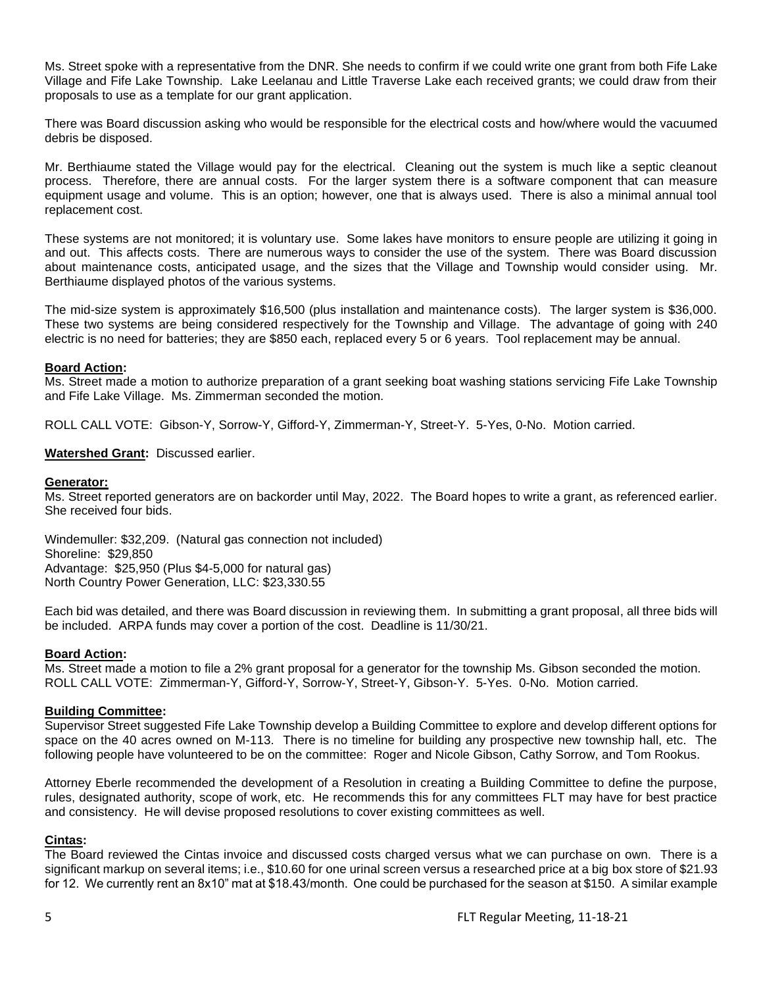Ms. Street spoke with a representative from the DNR. She needs to confirm if we could write one grant from both Fife Lake Village and Fife Lake Township. Lake Leelanau and Little Traverse Lake each received grants; we could draw from their proposals to use as a template for our grant application.

There was Board discussion asking who would be responsible for the electrical costs and how/where would the vacuumed debris be disposed.

Mr. Berthiaume stated the Village would pay for the electrical. Cleaning out the system is much like a septic cleanout process. Therefore, there are annual costs. For the larger system there is a software component that can measure equipment usage and volume. This is an option; however, one that is always used. There is also a minimal annual tool replacement cost.

These systems are not monitored; it is voluntary use. Some lakes have monitors to ensure people are utilizing it going in and out. This affects costs. There are numerous ways to consider the use of the system. There was Board discussion about maintenance costs, anticipated usage, and the sizes that the Village and Township would consider using. Mr. Berthiaume displayed photos of the various systems.

The mid-size system is approximately \$16,500 (plus installation and maintenance costs). The larger system is \$36,000. These two systems are being considered respectively for the Township and Village. The advantage of going with 240 electric is no need for batteries; they are \$850 each, replaced every 5 or 6 years. Tool replacement may be annual.

### **Board Action:**

Ms. Street made a motion to authorize preparation of a grant seeking boat washing stations servicing Fife Lake Township and Fife Lake Village. Ms. Zimmerman seconded the motion.

ROLL CALL VOTE: Gibson-Y, Sorrow-Y, Gifford-Y, Zimmerman-Y, Street-Y. 5-Yes, 0-No. Motion carried.

### **Watershed Grant:** Discussed earlier.

#### **Generator:**

Ms. Street reported generators are on backorder until May, 2022. The Board hopes to write a grant, as referenced earlier. She received four bids.

Windemuller: \$32,209. (Natural gas connection not included) Shoreline: \$29,850 Advantage: \$25,950 (Plus \$4-5,000 for natural gas) North Country Power Generation, LLC: \$23,330.55

Each bid was detailed, and there was Board discussion in reviewing them. In submitting a grant proposal, all three bids will be included. ARPA funds may cover a portion of the cost. Deadline is 11/30/21.

### **Board Action:**

Ms. Street made a motion to file a 2% grant proposal for a generator for the township Ms. Gibson seconded the motion. ROLL CALL VOTE: Zimmerman-Y, Gifford-Y, Sorrow-Y, Street-Y, Gibson-Y. 5-Yes. 0-No. Motion carried.

#### **Building Committee:**

Supervisor Street suggested Fife Lake Township develop a Building Committee to explore and develop different options for space on the 40 acres owned on M-113. There is no timeline for building any prospective new township hall, etc. The following people have volunteered to be on the committee: Roger and Nicole Gibson, Cathy Sorrow, and Tom Rookus.

Attorney Eberle recommended the development of a Resolution in creating a Building Committee to define the purpose, rules, designated authority, scope of work, etc. He recommends this for any committees FLT may have for best practice and consistency. He will devise proposed resolutions to cover existing committees as well.

### **Cintas:**

The Board reviewed the Cintas invoice and discussed costs charged versus what we can purchase on own. There is a significant markup on several items; i.e., \$10.60 for one urinal screen versus a researched price at a big box store of \$21.93 for 12. We currently rent an 8x10" mat at \$18.43/month. One could be purchased for the season at \$150. A similar example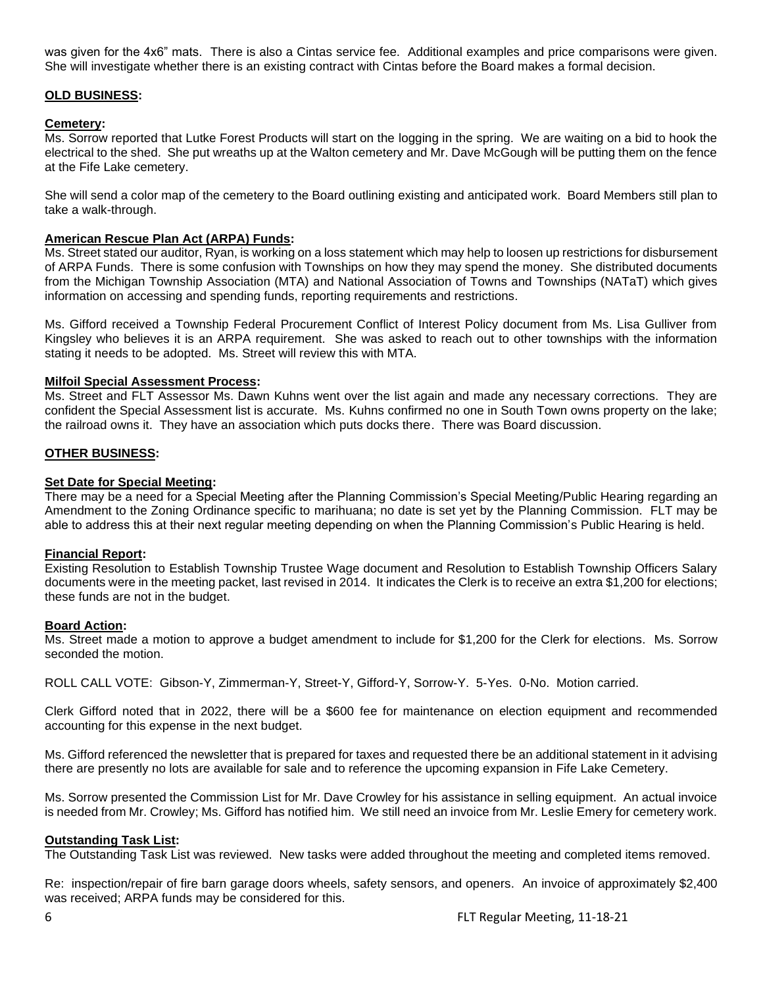was given for the 4x6" mats. There is also a Cintas service fee. Additional examples and price comparisons were given. She will investigate whether there is an existing contract with Cintas before the Board makes a formal decision.

### **OLD BUSINESS:**

### **Cemetery:**

Ms. Sorrow reported that Lutke Forest Products will start on the logging in the spring. We are waiting on a bid to hook the electrical to the shed. She put wreaths up at the Walton cemetery and Mr. Dave McGough will be putting them on the fence at the Fife Lake cemetery.

She will send a color map of the cemetery to the Board outlining existing and anticipated work. Board Members still plan to take a walk-through.

### **American Rescue Plan Act (ARPA) Funds:**

Ms. Street stated our auditor, Ryan, is working on a loss statement which may help to loosen up restrictions for disbursement of ARPA Funds. There is some confusion with Townships on how they may spend the money. She distributed documents from the Michigan Township Association (MTA) and National Association of Towns and Townships (NATaT) which gives information on accessing and spending funds, reporting requirements and restrictions.

Ms. Gifford received a Township Federal Procurement Conflict of Interest Policy document from Ms. Lisa Gulliver from Kingsley who believes it is an ARPA requirement. She was asked to reach out to other townships with the information stating it needs to be adopted. Ms. Street will review this with MTA.

#### **Milfoil Special Assessment Process:**

Ms. Street and FLT Assessor Ms. Dawn Kuhns went over the list again and made any necessary corrections. They are confident the Special Assessment list is accurate. Ms. Kuhns confirmed no one in South Town owns property on the lake; the railroad owns it. They have an association which puts docks there. There was Board discussion.

#### **OTHER BUSINESS:**

### **Set Date for Special Meeting:**

There may be a need for a Special Meeting after the Planning Commission's Special Meeting/Public Hearing regarding an Amendment to the Zoning Ordinance specific to marihuana; no date is set yet by the Planning Commission. FLT may be able to address this at their next regular meeting depending on when the Planning Commission's Public Hearing is held.

### **Financial Report:**

Existing Resolution to Establish Township Trustee Wage document and Resolution to Establish Township Officers Salary documents were in the meeting packet, last revised in 2014. It indicates the Clerk is to receive an extra \$1,200 for elections; these funds are not in the budget.

### **Board Action:**

Ms. Street made a motion to approve a budget amendment to include for \$1,200 for the Clerk for elections. Ms. Sorrow seconded the motion.

ROLL CALL VOTE: Gibson-Y, Zimmerman-Y, Street-Y, Gifford-Y, Sorrow-Y. 5-Yes. 0-No. Motion carried.

Clerk Gifford noted that in 2022, there will be a \$600 fee for maintenance on election equipment and recommended accounting for this expense in the next budget.

Ms. Gifford referenced the newsletter that is prepared for taxes and requested there be an additional statement in it advising there are presently no lots are available for sale and to reference the upcoming expansion in Fife Lake Cemetery.

Ms. Sorrow presented the Commission List for Mr. Dave Crowley for his assistance in selling equipment. An actual invoice is needed from Mr. Crowley; Ms. Gifford has notified him. We still need an invoice from Mr. Leslie Emery for cemetery work.

### **Outstanding Task List:**

The Outstanding Task List was reviewed. New tasks were added throughout the meeting and completed items removed.

Re: inspection/repair of fire barn garage doors wheels, safety sensors, and openers. An invoice of approximately \$2,400 was received; ARPA funds may be considered for this.